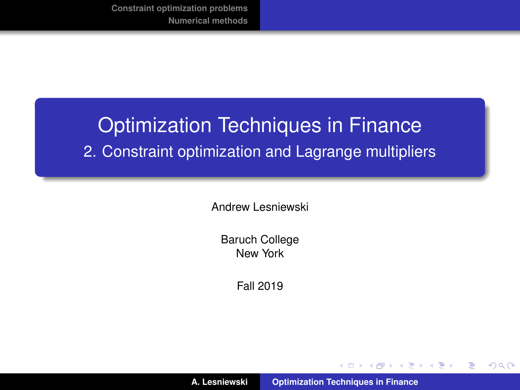# <span id="page-0-0"></span>Optimization Techniques in Finance 2. Constraint optimization and Lagrange multipliers

Andrew Lesniewski

Baruch College New York

Fall 2019

**A. Lesniewski [Optimization Techniques in Finance](#page-50-0)**

K ロ ▶ K 御 ▶ K 唐 ▶ K 唐 ▶ .

 $299$ 

重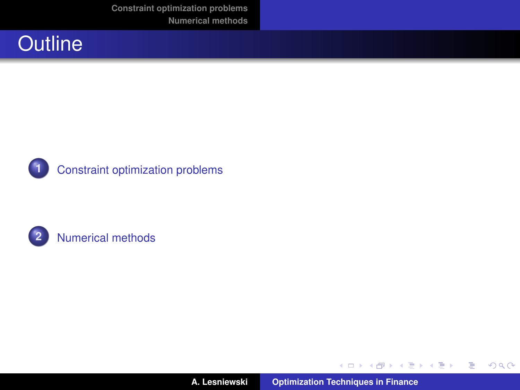**[Constraint optimization problems](#page-2-0) [Numerical methods](#page-33-0)**

<span id="page-1-0"></span>





**2** [Numerical methods](#page-33-0)

イロトス 御 トス 言 トス 言 トー

■  $299$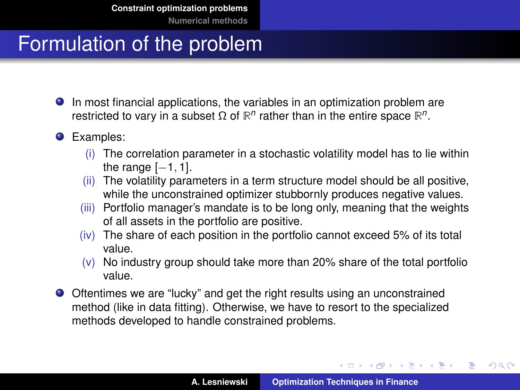# <span id="page-2-0"></span>Formulation of the problem

- In most financial applications, the variables in an optimization problem are restricted to vary in a subset Ω of  $\mathbb{R}^n$  rather than in the entire space  $\mathbb{R}^n$ .
- **O** Examples:
	- (i) The correlation parameter in a stochastic volatility model has to lie within the range  $[-1, 1]$ .
	- (ii) The volatility parameters in a term structure model should be all positive, while the unconstrained optimizer stubbornly produces negative values.
	- (iii) Portfolio manager's mandate is to be long only, meaning that the weights of all assets in the portfolio are positive.
	- (iv) The share of each position in the portfolio cannot exceed 5% of its total value.
	- $(v)$  No industry group should take more than 20% share of the total portfolio value.
- Oftentimes we are "lucky" and get the right results using an unconstrained method (like in data fitting). Otherwise, we have to resort to the specialized methods developed to handle constrained problems.

イロメ イ部メ イヨメ イヨメー

 $QQ$ 

Þ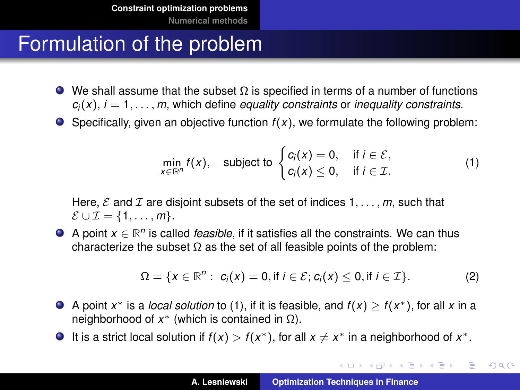### <span id="page-3-1"></span>Formulation of the problem

- $\bullet$  We shall assume that the subset  $\Omega$  is specified in terms of a number of functions  $c_i(x)$ ,  $i = 1, \ldots, m$ , which define *equality constraints* or *inequality constraints*.
- $\bullet$  Specifically, given an objective function  $f(x)$ , we formulate the following problem:

<span id="page-3-0"></span>
$$
\min_{x \in \mathbb{R}^n} f(x), \quad \text{subject to } \begin{cases} c_i(x) = 0, & \text{if } i \in \mathcal{E}, \\ c_i(x) \le 0, & \text{if } i \in \mathcal{I}. \end{cases} \tag{1}
$$

Here,  $\mathcal E$  and  $\mathcal I$  are disjoint subsets of the set of indices  $1, \ldots, m$ , such that  $\mathcal{E} \cup \mathcal{I} = \{1, \ldots, m\}.$ 

A point  $x \in \mathbb{R}^n$  is called *feasible*, if it satisfies all the constraints. We can thus characterize the subset  $\Omega$  as the set of all feasible points of the problem:

$$
\Omega = \{x \in \mathbb{R}^n : c_i(x) = 0, \text{if } i \in \mathcal{E}; c_i(x) \leq 0, \text{if } i \in \mathcal{I}\}.
$$
 (2)

- A point  $x^*$  is a *local solution* to [\(1\)](#page-3-0), if it is feasible, and  $f(x) \ge f(x^*)$ , for all x in a neighborhood of  $x^*$  (which is contained in  $Ω$ ).
- It is a strict local solution if  $f(x) > f(x^*)$ , for all  $x \neq x^*$  in a neighborhood of  $x^*$ .

イロメ イ部メ イ君メ イ君メー

■  $299$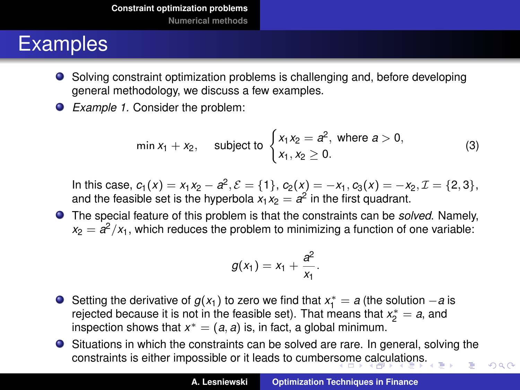- <span id="page-4-0"></span>Solving constraint optimization problems is challenging and, before developing general methodology, we discuss a few examples.
- *Example 1.* Consider the problem:

<span id="page-4-1"></span>
$$
\min x_1 + x_2, \quad \text{subject to } \begin{cases} x_1 x_2 = a^2, \text{ where } a > 0, \\ x_1, x_2 \ge 0. \end{cases} \tag{3}
$$

In this case,  $c_1(x) = x_1x_2 - a^2$ ,  $\mathcal{E} = \{1\}$ ,  $c_2(x) = -x_1$ ,  $c_3(x) = -x_2$ ,  $\mathcal{I} = \{2,3\}$ , and the feasible set is the hyperbola  $x_1x_2 = a^2$  in the first quadrant.

The special feature of this problem is that the constraints can be *solved*. Namely,  $x_2 = a^2/x_1$ , which reduces the problem to minimizing a function of one variable:

$$
g(x_1) = x_1 + \frac{a^2}{x_1}.
$$

- Setting the derivative of  $g(x_1)$  to zero we find that  $x_1^* = a$  (the solution  $-a$  is rejected because it is not in the feasible set). That means that  $x_2^* = a$ , and inspection shows that  $x^* = (a, a)$  is, in fact, a global minimum.
- Situations in which the constraints can be solved are rare. In general, solving the constraints is either impossible or it leads to cumber[som](#page-3-1)[e](#page-5-0) [ca](#page-3-1)[lcu](#page-4-0)[l](#page-5-0)[at](#page-1-0)[io](#page-2-0)[n](#page-32-0)[s.](#page-33-0)

 $2Q$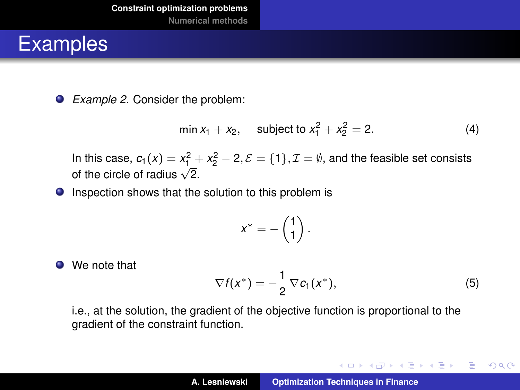<span id="page-5-0"></span>*Example 2.* Consider the problem:

$$
\min x_1 + x_2, \quad \text{subject to } x_1^2 + x_2^2 = 2. \tag{4}
$$

In this case,  $c_1(x) = x_1^2 + x_2^2 - 2$ ,  $\mathcal{E} = \{1\}$ ,  $\mathcal{I} = \emptyset$ , and the feasible set consists of the circle of radius  $\sqrt{2}$ .

**O** Inspection shows that the solution to this problem is

$$
x^*=-\begin{pmatrix}1\\1\end{pmatrix}.
$$

● We note that

<span id="page-5-1"></span>
$$
\nabla f(x^*) = -\frac{1}{2} \nabla c_1(x^*), \tag{5}
$$

K ロ ⊁ K 伊 ⊁ K 君 ⊁ K 君 ⊁ …

重。  $2Q$ 

i.e., at the solution, the gradient of the objective function is proportional to the gradient of the constraint function.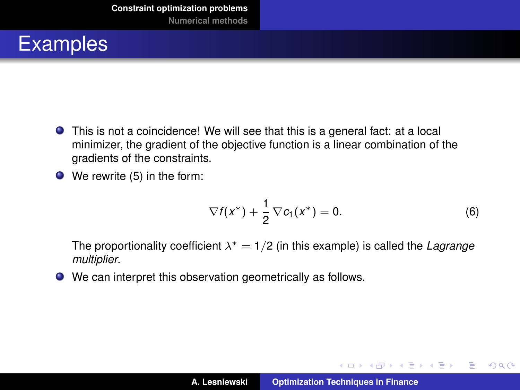- This is not a coincidence! We will see that this is a general fact: at a local minimizer, the gradient of the objective function is a linear combination of the gradients of the constraints.
- We rewrite [\(5\)](#page-5-1) in the form:

$$
\nabla f(x^*) + \frac{1}{2}\nabla c_1(x^*) = 0. \tag{6}
$$

イロメ イ部メ イヨメ イヨメー

 $2Q$ 

重

The proportionality coefficient  $\lambda^* = 1/2$  (in this example) is called the *Lagrange multiplier*.

We can interpret this observation geometrically as follows.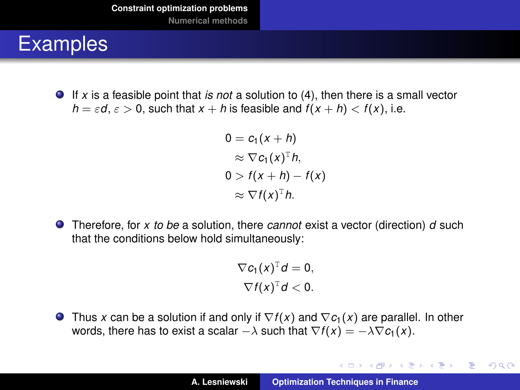If *x* is a feasible point that *is not* a solution to [\(4\)](#page-4-1), then there is a small vector  $h = \varepsilon d$ ,  $\varepsilon > 0$ , such that  $x + h$  is feasible and  $f(x + h) < f(x)$ , i.e.

```
0 = c_1(x + h)\approx \nabla c_1(x)^T h,
0 > f(x + h) - f(x)\approx \nabla f(x)^T h.
```
Therefore, for *x to be* a solution, there *cannot* exist a vector (direction) *d* such that the conditions below hold simultaneously:

> $\nabla c_1(x)^{\mathrm{T}}d=0,$  $\nabla f(x)^{\text{T}}d < 0.$

**Thus x** can be a solution if and only if  $\nabla f(x)$  and  $\nabla c_1(x)$  are parallel. In other words, there has to exist a scalar  $-\lambda$  such that  $\nabla f(x) = -\lambda \nabla c_1(x)$ .

イロメ イ部メ イ君メ イ君メー

È.  $298$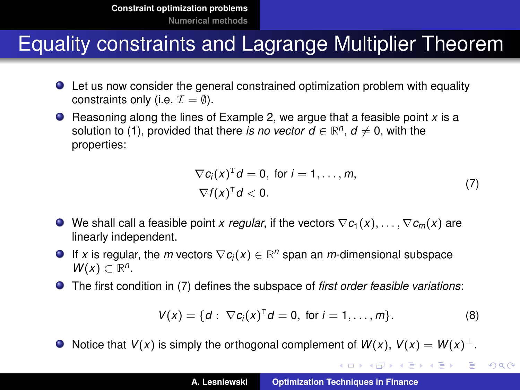### Equality constraints and Lagrange Multiplier Theorem

- Let us now consider the general constrained optimization problem with equality constraints only (i.e.  $\mathcal{I} = \emptyset$ ).
- Reasoning along the lines of Example 2, we argue that a feasible point *x* is a solution to [\(1\)](#page-3-0), provided that there *is no vector d*  $\in \mathbb{R}^n$ , *d*  $\neq$  0, with the properties:

$$
\nabla c_i(x)^{\mathrm{T}} d = 0, \text{ for } i = 1, ..., m,
$$
  

$$
\nabla f(x)^{\mathrm{T}} d < 0.
$$
 (7)

- <span id="page-8-0"></span>We shall call a feasible point *x regular*, if the vectors  $\nabla c_1(x), \ldots, \nabla c_m(x)$  are linearly independent.
- If *x* is regular, the *m* vectors ∇*c<sup>i</sup>* (*x*) ∈ **R** *<sup>n</sup>* span an *m*-dimensional subspace  $W(x) \subset \mathbb{R}^n$ .
- The first condition in [\(7\)](#page-8-0) defines the subspace of *first order feasible variations*:

$$
V(x) = \{d: \nabla c_i(x)^{\mathrm{T}} d = 0, \text{ for } i = 1, ..., m\}.
$$
 (8)

K ロ ▶ K 御 ▶ K 重 ▶ K 重 ▶ 三重 → 約 Q @

 $\bullet$  Notice that *V*(*x*) is simply the orthogonal complement of *W*(*x*), *V*(*x*) = *W*(*x*)<sup>⊥</sup>.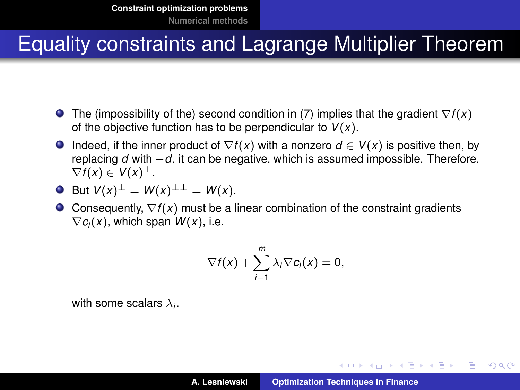### Equality constraints and Lagrange Multiplier Theorem

- The (impossibility of the) second condition in [\(7\)](#page-8-0) implies that the gradient ∇*f* (*x*) of the objective function has to be perpendicular to *V*(*x*).
- **Indeed, if the inner product of**  $\nabla f(x)$  **with a nonzero**  $d \in V(x)$  **is positive then, by** replacing *d* with −*d*, it can be negative, which is assumed impossible. Therefore,  $\nabla f(x) \in V(x)^{\perp}$ .
- $\bullet$  But  $V(x)^{\perp} = W(x)^{\perp \perp} = W(x)$ .
- Consequently, ∇*f* (*x*) must be a linear combination of the constraint gradients  $\nabla c_i(x)$ , which span  $W(x)$ , i.e.

$$
\nabla f(x) + \sum_{i=1}^m \lambda_i \nabla c_i(x) = 0,
$$

with some scalars  $\lambda_i.$ 

イロメ イ部メ イ君メ イ君メー

造っ  $2Q$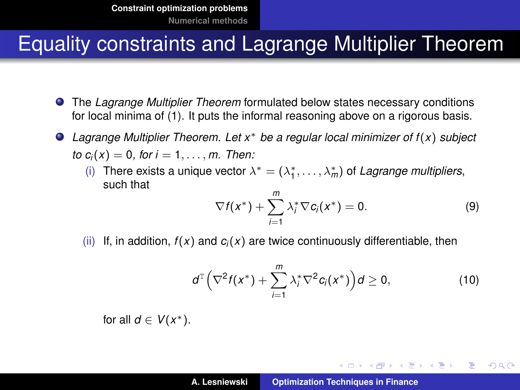#### Equality constraints and Lagrange Multiplier Theorem

- The *Lagrange Multiplier Theorem* formulated below states necessary conditions for local minima of [\(1\)](#page-3-0). It puts the informal reasoning above on a rigorous basis.
- *Lagrange Multiplier Theorem. Let x*<sup>∗</sup> *be a regular local minimizer of f* (*x*) *subject to*  $c_i(x) = 0$ *, for*  $i = 1, ..., m$ *. Then:* 
	- (i) There exists a unique vector  $\lambda^* = (\lambda_1^*, \dots, \lambda_m^*)$  of *Lagrange multipliers*, such that

$$
\nabla f(x^*) + \sum_{i=1}^m \lambda_i^* \nabla c_i(x^*) = 0. \tag{9}
$$

(ii) If, in addition,  $f(x)$  and  $c_i(x)$  are twice continuously differentiable, then

$$
d^{T}\left(\nabla^{2} f(x^{*})+\sum_{i=1}^{m} \lambda_{i}^{*} \nabla^{2} c_{i}(x^{*})\right) d \geq 0, \qquad (10)
$$

イロメ イ部メ イ君メ イ君メー

 $E$  990

for all  $d \in V(x^*)$ .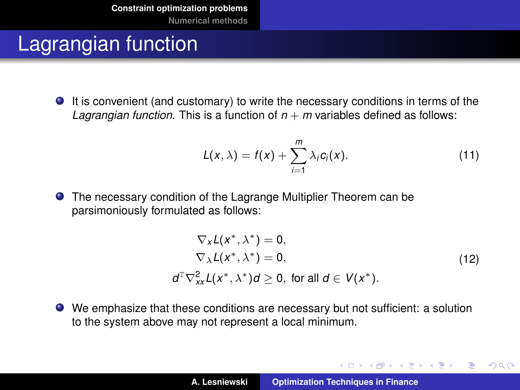### Lagrangian function

It is convenient (and customary) to write the necessary conditions in terms of the *Lagrangian function*. This is a function of  $n + m$  variables defined as follows:

<span id="page-11-0"></span>
$$
L(x,\lambda) = f(x) + \sum_{i=1}^{m} \lambda_i c_i(x). \qquad (11)
$$

The necessary condition of the Lagrange Multiplier Theorem can be parsimoniously formulated as follows:

$$
\nabla_x L(x^*, \lambda^*) = 0,
$$
  
\n
$$
\nabla_{\lambda} L(x^*, \lambda^*) = 0,
$$
  
\n
$$
d^{\mathrm{T}} \nabla_{xx}^2 L(x^*, \lambda^*) d \ge 0, \text{ for all } d \in V(x^*).
$$
\n(12)

イロメ イ部メ イヨメ イヨメー

 $QQQ$ Þ

We emphasize that these conditions are necessary but not sufficient: a solution to the system above may not represent a local minimum.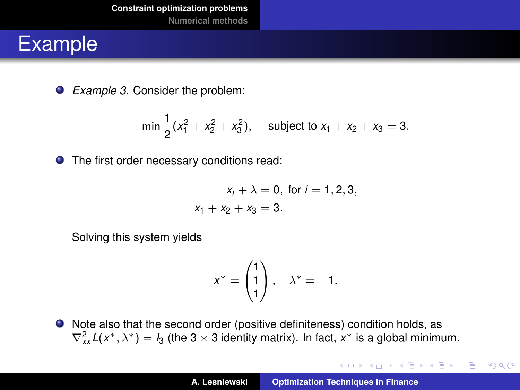*Example 3.* Consider the problem:

$$
\min \frac{1}{2}(x_1^2 + x_2^2 + x_3^2), \quad \text{subject to } x_1 + x_2 + x_3 = 3.
$$

**O** The first order necessary conditions read:

$$
x_i + \lambda = 0
$$
, for  $i = 1, 2, 3$ ,  
 $x_1 + x_2 + x_3 = 3$ .

Solving this system yields

$$
x^* = \begin{pmatrix} 1 \\ 1 \\ 1 \end{pmatrix}, \quad \lambda^* = -1.
$$

Note also that the second order (positive definiteness) condition holds, as  $\nabla_{xx}^2 L(x^*, \lambda^*) = I_3$  (the 3 × 3 identity matrix). In fact,  $x^*$  is a global minimum.

イロメ イ部メ イヨメ イヨメー

重

 $2Q$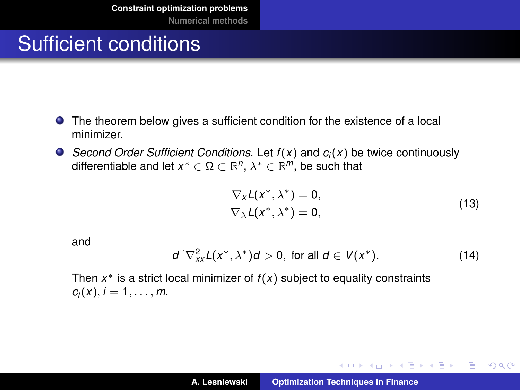# Sufficient conditions

- The theorem below gives a sufficient condition for the existence of a local minimizer.
- *Second Order Sufficient Conditions.* Let *f* (*x*) and *c<sup>i</sup>* (*x*) be twice continuously differentiable and let  $x^* \in \Omega \subset \mathbb{R}^n$ ,  $\lambda^* \in \mathbb{R}^m$ , be such that

$$
\nabla_X \mathcal{L}(x^*, \lambda^*) = 0,
$$
  
\n
$$
\nabla_X \mathcal{L}(x^*, \lambda^*) = 0,
$$
\n(13)

K ロ ⊁ K 伊 ⊁ K 君 ⊁ K 君 ⊁ …

 $2Q$ 唐山

and

<span id="page-13-0"></span>
$$
d^{\mathrm{T}}\nabla_{xx}^{2}L(x^*,\lambda^*)d>0, \text{ for all } d\in V(x^*). \tag{14}
$$

Then *x* <sup>∗</sup> is a strict local minimizer of *f* (*x*) subject to equality constraints  $c_i(x)$ ,  $i = 1, \ldots, m$ .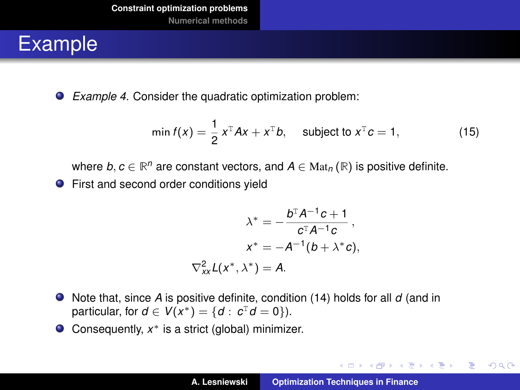*Example 4.* Consider the quadratic optimization problem:

min 
$$
f(x) = \frac{1}{2} x^{T} A x + x^{T} b
$$
, subject to  $x^{T} c = 1$ , (15)

where  $b, c \in \mathbb{R}^n$  are constant vectors, and  $A \in \text{Mat}_n(\mathbb{R})$  is positive definite.

**•** First and second order conditions yield

$$
\lambda^* = -\frac{b^{\mathrm{T}}A^{-1}c + 1}{c^{\mathrm{T}}A^{-1}c},
$$

$$
x^* = -A^{-1}(b + \lambda^*c),
$$

$$
\nabla_{xx}^2 L(x^*, \lambda^*) = A.
$$

- Note that, since *A* is positive definite, condition [\(14\)](#page-13-0) holds for all *d* (and in particular, for  $d \in V(x^*) = \{d : c^{\text{T}}d = 0\}$ .
- Consequently, *x* <sup>∗</sup> is a strict (global) minimizer.

イロメ イ団メ イヨメ イヨメー

重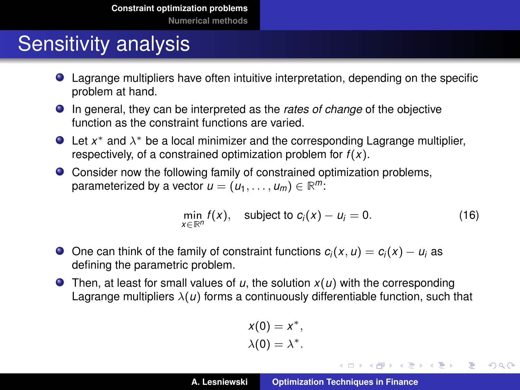#### **[Numerical methods](#page-33-0)**

# Sensitivity analysis

- Lagrange multipliers have often intuitive interpretation, depending on the specific problem at hand.
- In general, they can be interpreted as the *rates of change* of the objective function as the constraint functions are varied.
- Let x<sup>\*</sup> and  $\lambda$ <sup>\*</sup> be a local minimizer and the corresponding Lagrange multiplier, respectively, of a constrained optimization problem for *f* (*x*).
- Consider now the following family of constrained optimization problems, parameterized by a vector  $u = (u_1, \ldots, u_m) \in \mathbb{R}^m$ :

<span id="page-15-0"></span>
$$
\min_{x \in \mathbb{R}^n} f(x), \quad \text{subject to } c_i(x) - u_i = 0. \tag{16}
$$

イロメ イ部メ イ君メ イ君メー

唐山  $2990$ 

- **●** One can think of the family of constraint functions  $c_i(x, u) = c_i(x) u_i$  as defining the parametric problem.
- **•** Then, at least for small values of  $u$ , the solution  $x(u)$  with the corresponding Lagrange multipliers  $\lambda(u)$  forms a continuously differentiable function, such that

$$
x(0) = x^*,
$$
  

$$
\lambda(0) = \lambda^*.
$$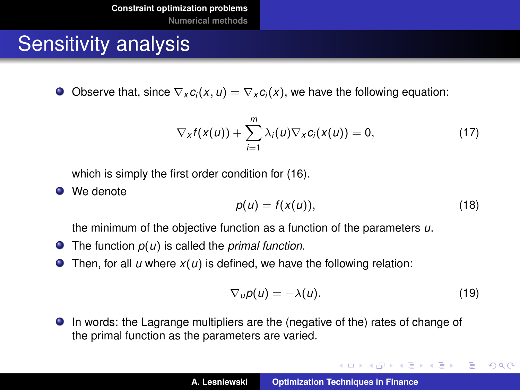## Sensitivity analysis

Observe that, since  $\nabla_x c_i(x, u) = \nabla_x c_i(x)$ , we have the following equation:  $\bullet$ 

<span id="page-16-0"></span>
$$
\nabla_{X}f(x(u)) + \sum_{i=1}^{m} \lambda_{i}(u)\nabla_{X}c_{i}(x(u)) = 0, \qquad (17)
$$

which is simply the first order condition for [\(16\)](#page-15-0).

**O** We denote

$$
p(u) = f(x(u)), \tag{18}
$$

the minimum of the objective function as a function of the parameters *u*.

- The function *p*(*u*) is called the *primal function*.
- Then, for all  $u$  where  $x(u)$  is defined, we have the following relation:  $\bullet$

<span id="page-16-1"></span>
$$
\nabla_u \rho(u) = -\lambda(u). \tag{19}
$$

イロメ イ団メ イヨメ イヨメー

 $2Q$ 

重

In words: the Lagrange multipliers are the (negative of the) rates of change of the primal function as the parameters are varied.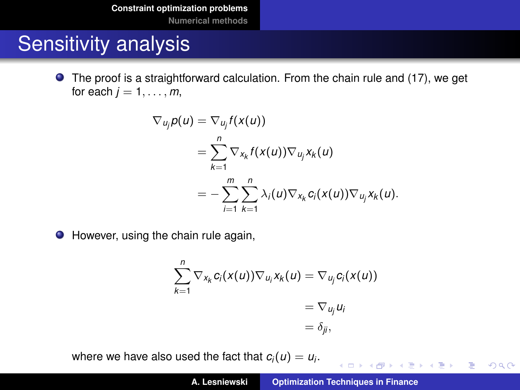**[Constraint optimization problems](#page-2-0)**

**[Numerical methods](#page-33-0)**

### Sensitivity analysis

The proof is a straightforward calculation. From the chain rule and [\(17\)](#page-16-0), we get for each  $j = 1, \ldots, m$ ,

$$
\nabla_{u_j} p(u) = \nabla_{u_j} f(x(u))
$$
  
= 
$$
\sum_{k=1}^n \nabla_{x_k} f(x(u)) \nabla_{u_j} x_k(u)
$$
  
= 
$$
-\sum_{i=1}^m \sum_{k=1}^n \lambda_i(u) \nabla_{x_k} c_i(x(u)) \nabla_{u_j} x_k(u).
$$

● However, using the chain rule again,

$$
\sum_{k=1}^n \nabla_{x_k} c_i(x(u)) \nabla_{u_i} x_k(u) = \nabla_{u_j} c_i(x(u))
$$
  
=  $\nabla_{u_j} u_i$   
=  $\delta_{ji}$ ,

where we have also used the fact that  $c_i(u) = u_i$ .

4 ロ > 4 団 > 4 ミ > 4 ミ > 三 ミ - 9 Q Q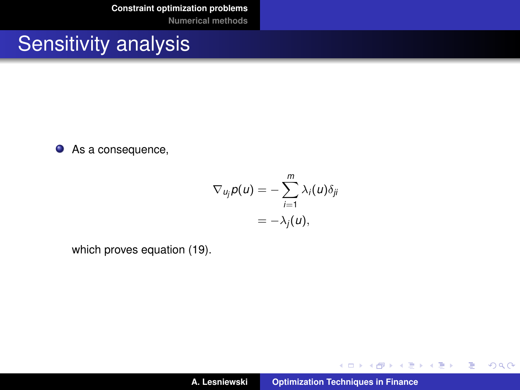**[Constraint optimization problems](#page-2-0)**

**[Numerical methods](#page-33-0)**

### Sensitivity analysis

● As a consequence,

$$
\nabla_{u_j} p(u) = -\sum_{i=1}^m \lambda_i(u) \delta_{ji}
$$
  
=  $-\lambda_j(u)$ ,

which proves equation [\(19\)](#page-16-1).

イロメ イ団メ イヨメ イヨメー

■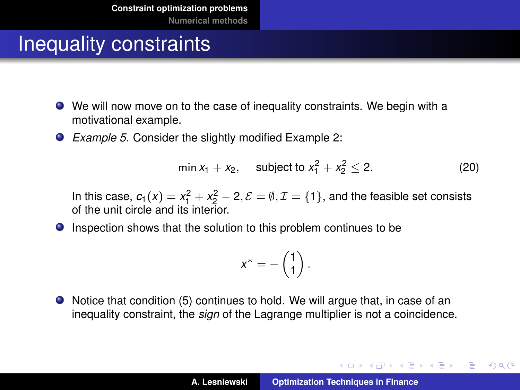- We will now move on to the case of inequality constraints. We begin with a motivational example.
- *Example 5.* Consider the slightly modified Example 2:

$$
\min x_1 + x_2, \quad \text{subject to } x_1^2 + x_2^2 \le 2. \tag{20}
$$

In this case,  $c_1(x) = x_1^2 + x_2^2 - 2$ ,  $\mathcal{E} = \emptyset$ ,  $\mathcal{I} = \{1\}$ , and the feasible set consists of the unit circle and its interior.

**Inspection shows that the solution to this problem continues to be** 

$$
x^* = -\begin{pmatrix} 1 \\ 1 \end{pmatrix}.
$$

Notice that condition [\(5\)](#page-5-1) continues to hold. We will argue that, in case of an inequality constraint, the *sign* of the Lagrange multiplier is not a coincidence.

イロメ イ団メ イヨメ イヨメー

重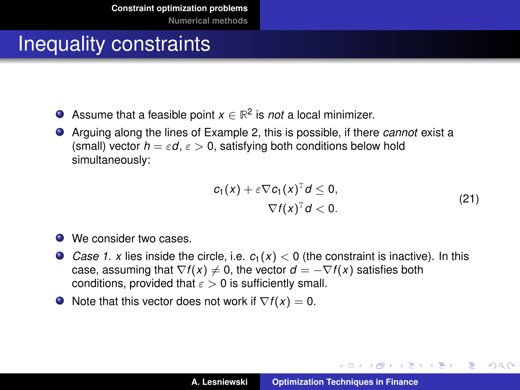- Assume that a feasible point  $x \in \mathbb{R}^2$  is *not* a local minimizer. .
- Arguing along the lines of Example 2, this is possible, if there *cannot* exist a (small) vector  $h = \varepsilon d$ ,  $\varepsilon > 0$ , satisfying both conditions below hold simultaneously:

$$
c_1(x) + \varepsilon \nabla c_1(x)^T d \le 0,
$$
  
 
$$
\nabla f(x)^T d < 0.
$$
 (21)

イロメ イ部メ イヨメ イヨメー

Þ

- We consider two cases.
- Case 1. x lies inside the circle, i.e.  $c_1(x) < 0$  (the constraint is inactive). In this case, assuming that  $\nabla f(x) \neq 0$ , the vector  $d = -\nabla f(x)$  satisfies both conditions, provided that  $\epsilon > 0$  is sufficiently small.
- $\bullet$  Note that this vector does not work if  $\nabla f(x) = 0$ .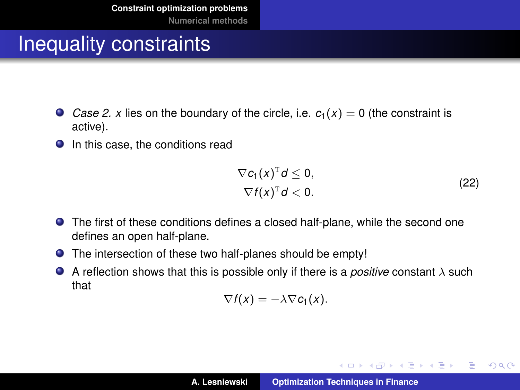- *Case 2. x* lies on the boundary of the circle, i.e.  $c_1(x) = 0$  (the constraint is active).
- **In this case, the conditions read**

$$
\nabla c_1(x)^{\mathrm{T}}d \leq 0,
$$
  
 
$$
\nabla f(x)^{\mathrm{T}}d < 0.
$$
 (22)

イロメ イ団メ イヨメ イヨメー

 $2Q$ 

重

- The first of these conditions defines a closed half-plane, while the second one defines an open half-plane.
- The intersection of these two half-planes should be empty!
- A reflection shows that this is possible only if there is a *positive* constant λ such that

$$
\nabla f(x) = -\lambda \nabla c_1(x).
$$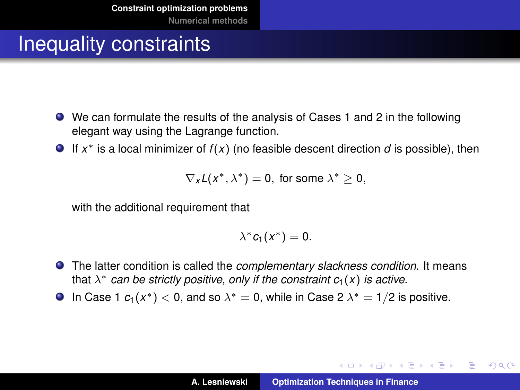- We can formulate the results of the analysis of Cases 1 and 2 in the following elegant way using the Lagrange function.
- If *x* <sup>∗</sup> is a local minimizer of *f* (*x*) (no feasible descent direction *d* is possible), then

 $\nabla_{\mathbf{x}} L(\mathbf{x}^*, \lambda^*) = 0$ , for some  $\lambda^* \geq 0$ ,

with the additional requirement that

$$
\lambda^* c_1(x^*)=0.
$$

- The latter condition is called the *complementary slackness condition*. It means that  $\lambda^*$  *can be strictly positive, only if the constraint*  $c_1(x)$  *is active.*
- In Case 1  $c_1(x^*)$  < 0, and so  $\lambda^* = 0$ , while in Case 2  $\lambda^* = 1/2$  is positive.

イロメ イ部メ イ君メ イ君メー

 $E = \Omega Q$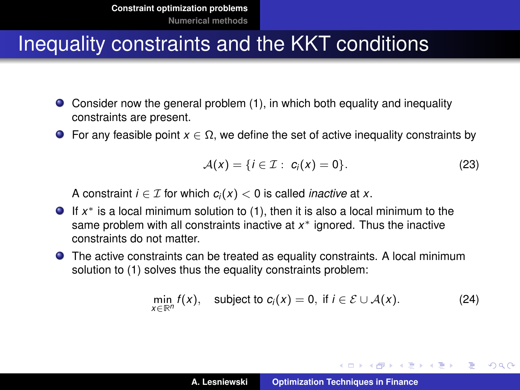- Consider now the general problem [\(1\)](#page-3-0), in which both equality and inequality constraints are present.
- **For any feasible point**  $x \in \Omega$ **, we define the set of active inequality constraints by**

$$
\mathcal{A}(x) = \{i \in \mathcal{I} : c_i(x) = 0\}.
$$
 (23)

A constraint *i*  $\in \mathcal{I}$  for which  $c_i(x) < 0$  is called *inactive* at *x*.

- If *x* <sup>∗</sup> is a local minimum solution to [\(1\)](#page-3-0), then it is also a local minimum to the same problem with all constraints inactive at x<sup>\*</sup> ignored. Thus the inactive constraints do not matter.
- The active constraints can be treated as equality constraints. A local minimum solution to [\(1\)](#page-3-0) solves thus the equality constraints problem:

$$
\min_{x \in \mathbb{R}^n} f(x), \quad \text{subject to } c_i(x) = 0, \text{ if } i \in \mathcal{E} \cup \mathcal{A}(x). \tag{24}
$$

イロメ イ団メ イヨメ イヨメー

重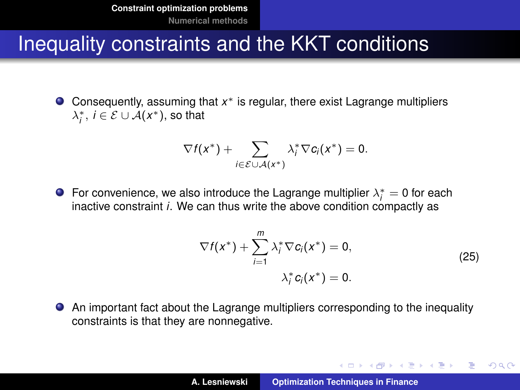Consequently, assuming that *x* <sup>∗</sup> is regular, there exist Lagrange multipliers  $\lambda_i^*, i \in \mathcal{E} \cup \mathcal{A}(x^*),$  so that

$$
\nabla f(x^*) + \sum_{i \in \mathcal{E} \cup \mathcal{A}(x^*)} \lambda_i^* \nabla c_i(x^*) = 0.
$$

For convenience, we also introduce the Lagrange multiplier  $\lambda_i^* = 0$  for each inactive constraint *i*. We can thus write the above condition compactly as

$$
\nabla f(x^*) + \sum_{i=1}^m \lambda_i^* \nabla c_i(x^*) = 0,
$$
  

$$
\lambda_i^* c_i(x^*) = 0.
$$
 (25)

イロメ イ団メ イヨメ イヨメー

 $QQQ$ ÷.

An important fact about the Lagrange multipliers corresponding to the inequality constraints is that they are nonnegative.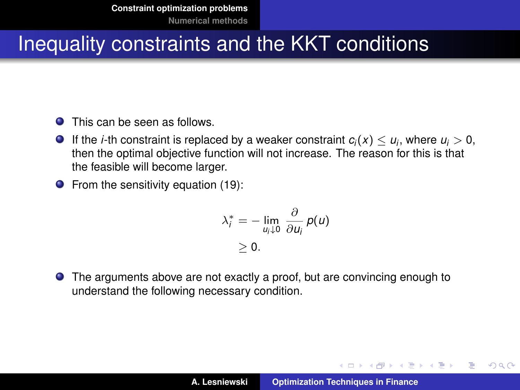- **O** This can be seen as follows.
- If the *i*-th constraint is replaced by a weaker constraint  $c_i(x) \leq u_i$ , where  $u_i > 0$ , then the optimal objective function will not increase. The reason for this is that the feasible will become larger.
- $\bullet$  From the sensitivity equation [\(19\)](#page-16-1):

$$
\lambda_i^* = - \lim_{u_i \downarrow 0} \frac{\partial}{\partial u_i} p(u)
$$
  
\n $\geq 0.$ 

The arguments above are not exactly a proof, but are convincing enough to understand the following necessary condition.

イロメ イ部メ イヨメ イヨメー

Þ

 $QQ$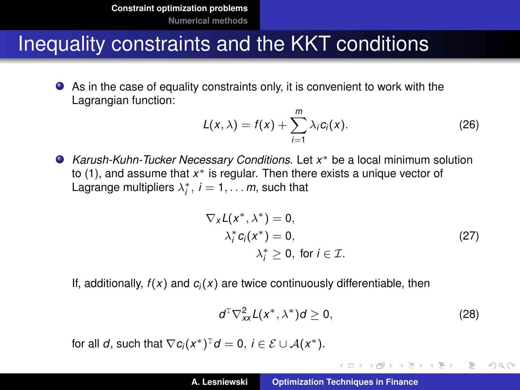As in the case of equality constraints only, it is convenient to work with the Lagrangian function:

$$
L(x,\lambda) = f(x) + \sum_{i=1}^{m} \lambda_i c_i(x).
$$
 (26)

*Karush-Kuhn-Tucker Necessary Conditions.* Let *x* <sup>∗</sup> be a local minimum solution to [\(1\)](#page-3-0), and assume that *x* <sup>∗</sup> is regular. Then there exists a unique vector of Lagrange multipliers  $\lambda_i^*$ ,  $i = 1, \ldots m$ , such that

$$
\nabla_{x}L(x^*, \lambda^*) = 0,\n\lambda_i^* c_i(x^*) = 0,\n\lambda_i^* \ge 0, \text{ for } i \in \mathcal{I}.
$$
\n(27)

If, additionally,  $f(x)$  and  $c_i(x)$  are twice continuously differentiable, then

$$
d^{\mathrm{T}}\nabla_{xx}^{2}L(x^*,\lambda^*)d\geq 0,
$$
 (28)

イロメ イ部メ イ君メ イ君メー

唐山  $2990$ 

for all *d*, such that  $\nabla c_i(x^*)^T d = 0$ ,  $i \in \mathcal{E} \cup \mathcal{A}(x^*)$ .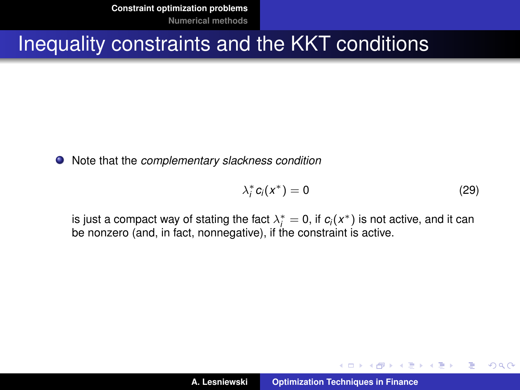**[Constraint optimization problems](#page-2-0) [Numerical methods](#page-33-0)**

#### Inequality constraints and the KKT conditions

Note that the *complementary slackness condition*

$$
\lambda_i^* c_i(x^*) = 0 \tag{29}
$$

K ロ ⊁ K 伊 ⊁ K 君 ⊁ K 君 ⊁ …

 $2Q$ 

重

is just a compact way of stating the fact  $\lambda_i^* = 0$ , if  $c_i(x^*)$  is not active, and it can be nonzero (and, in fact, nonnegative), if the constraint is active.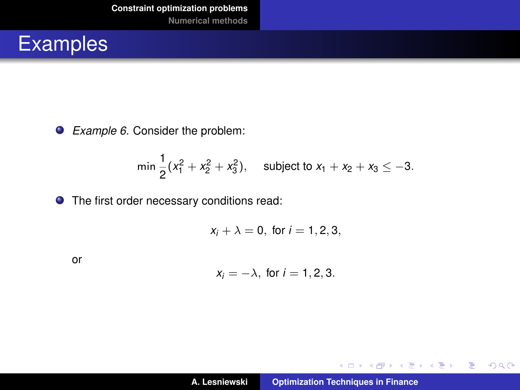

*Example 6.* Consider the problem:

$$
\min \frac{1}{2}(x_1^2 + x_2^2 + x_3^2), \quad \text{subject to } x_1 + x_2 + x_3 \leq -3.
$$

**O** The first order necessary conditions read:

 $x_i + \lambda = 0$ , for  $i = 1, 2, 3$ ,

or

$$
x_i=-\lambda, \text{ for } i=1,2,3.
$$

イロトス 御 トス 言 トス 言 トー

重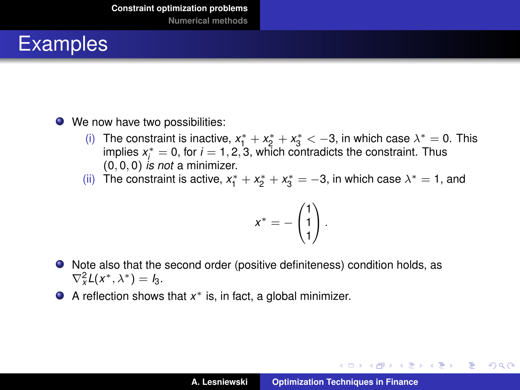- We now have two possibilities:
	- (i) The constraint is inactive,  $x_1^* + x_2^* + x_3^* < -3$ , in which case  $\lambda^* = 0$ . This implies  $x_i^* = 0$ , for  $i = 1, 2, 3$ , which contradicts the constraint. Thus (0, 0, 0) *is not* a minimizer.
	- (ii) The constraint is active,  $x_1^* + x_2^* + x_3^* = -3$ , in which case  $\lambda^* = 1$ , and

$$
x^* = -\begin{pmatrix} 1 \\ 1 \\ 1 \end{pmatrix}.
$$

- Note also that the second order (positive definiteness) condition holds, as  $\nabla^2_{\mathsf{x}} L(\mathsf{x}^*, \lambda^*) = I_3.$
- A reflection shows that *x* <sup>∗</sup> is, in fact, a global minimizer.

イロメ イ部メ イヨメ イヨメー

重  $2Q$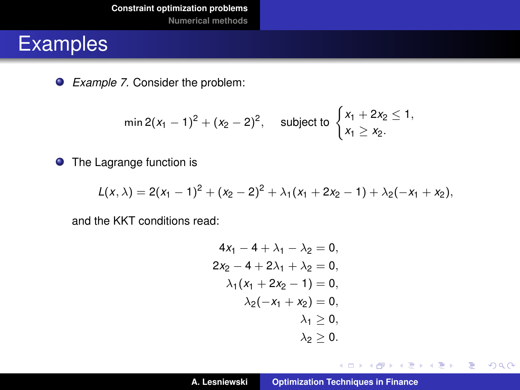*Example 7*. Consider the problem:

$$
\min 2(x_1-1)^2+(x_2-2)^2, \quad \text{subject to } \begin{cases} x_1+2x_2 \leq 1, \\ x_1 \geq x_2. \end{cases}
$$

**•** The Lagrange function is

$$
L(x, \lambda) = 2(x_1 - 1)^2 + (x_2 - 2)^2 + \lambda_1(x_1 + 2x_2 - 1) + \lambda_2(-x_1 + x_2),
$$

and the KKT conditions read:

$$
4x1 - 4 + \lambda_1 - \lambda_2 = 0,2x2 - 4 + 2\lambda_1 + \lambda_2 = 0,\lambda_1(x_1 + 2x_2 - 1) = 0,\lambda_2(-x_1 + x_2) = 0,\lambda_1 \ge 0,\lambda_2 \ge 0.
$$

イロメ イ団メ イヨメ イヨメー

重。  $298$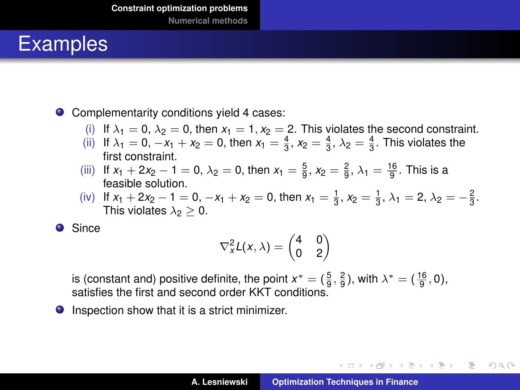● Complementarity conditions yield 4 cases:

- (i) If  $\lambda_1 = 0$ ,  $\lambda_2 = 0$ , then  $x_1 = 1$ ,  $x_2 = 2$ . This violates the second constraint.
- (ii) If  $\lambda_1 = 0, -x_1 + x_2 = 0$ , then  $x_1 = \frac{4}{3}, x_2 = \frac{4}{3}, \lambda_2 = \frac{4}{3}$ . This violates the first constraint.
- (iii) If  $x_1 + 2x_2 1 = 0$ ,  $\lambda_2 = 0$ , then  $x_1 = \frac{5}{9}$ ,  $x_2 = \frac{2}{9}$ ,  $\lambda_1 = \frac{16}{9}$ . This is a feasible solution.
- (iv) If  $x_1 + 2x_2 1 = 0$ ,  $-x_1 + x_2 = 0$ , then  $x_1 = \frac{1}{3}$ ,  $x_2 = \frac{1}{3}$ ,  $\lambda_1 = 2$ ,  $\lambda_2 = -\frac{2}{3}$ . This violates  $\lambda_2 > 0$ .

**O** Since

$$
\nabla_x^2 L(x,\lambda) = \begin{pmatrix} 4 & 0 \\ 0 & 2 \end{pmatrix}
$$

is (constant and) positive definite, the point  $x^* = (\frac{5}{9}, \frac{2}{9})$ , with  $\lambda^* = (\frac{16}{9}, 0)$ , satisfies the first and second order KKT conditions.

**O** Inspection show that it is a strict minimizer.

イロメ イ団メ イヨメ イヨメー

÷.  $2Q$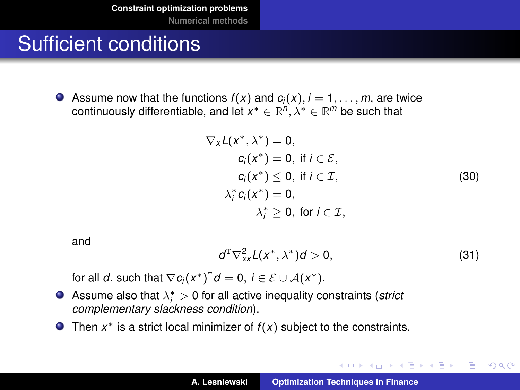# <span id="page-32-0"></span>Sufficient conditions

Assume now that the functions  $f(x)$  and  $c_i(x)$ ,  $i = 1, \ldots, m$ , are twice continuously differentiable, and let *x* <sup>∗</sup> ∈ **R** *n* , λ<sup>∗</sup> ∈ **R** *<sup>m</sup>* be such that

$$
\nabla_{x}L(x^*, \lambda^*) = 0,
$$
  
\n
$$
c_i(x^*) = 0, \text{ if } i \in \mathcal{E},
$$
  
\n
$$
c_i(x^*) \le 0, \text{ if } i \in \mathcal{I},
$$
  
\n
$$
\lambda_i^* c_i(x^*) = 0,
$$
  
\n
$$
\lambda_i^* \ge 0, \text{ for } i \in \mathcal{I},
$$
  
\n(30)

and

$$
d^{\mathrm{T}}\nabla_{xx}^{2}L(x^*,\lambda^*)d>0,\qquad \qquad (31)
$$

イロメ イ部メ イヨメ イヨメー

重

 $298$ 

for all *d*, such that  $\nabla c_i(x^*)^T d = 0$ ,  $i \in \mathcal{E} \cup \mathcal{A}(x^*)$ .

- Assume also that  $\lambda_i^* > 0$  for all active inequality constraints (*strict complementary slackness condition*).
- Then  $x^*$  is a strict local minimizer of  $f(x)$  subject to the constraints.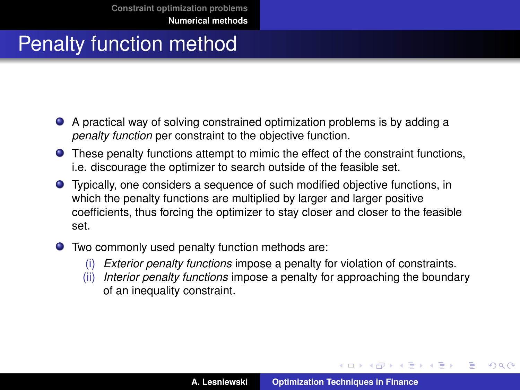- <span id="page-33-0"></span>A practical way of solving constrained optimization problems is by adding a *penalty function* per constraint to the objective function.
- These penalty functions attempt to mimic the effect of the constraint functions, i.e. discourage the optimizer to search outside of the feasible set.
- Typically, one considers a sequence of such modified objective functions, in which the penalty functions are multiplied by larger and larger positive coefficients, thus forcing the optimizer to stay closer and closer to the feasible set.
- Two commonly used penalty function methods are:
	- (i) *Exterior penalty functions* impose a penalty for violation of constraints.
	- (ii) *Interior penalty functions* impose a penalty for approaching the boundary of an inequality constraint.

イロメ イ部メ イ君メ イ君メー

 $QQ$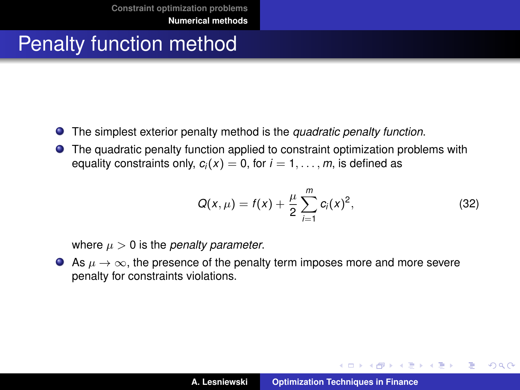- The simplest exterior penalty method is the *quadratic penalty function*.
- $\bullet$ The quadratic penalty function applied to constraint optimization problems with equality constraints only,  $c_i(x) = 0$ , for  $i = 1, \ldots, m$ , is defined as

$$
Q(x,\mu) = f(x) + \frac{\mu}{2} \sum_{i=1}^{m} c_i(x)^2,
$$
 (32)

イロメ イ部メ イヨメ イヨメー

重

 $298$ 

where  $\mu > 0$  is the *penalty parameter*.

As  $\mu \to \infty$ , the presence of the penalty term imposes more and more severe penalty for constraints violations.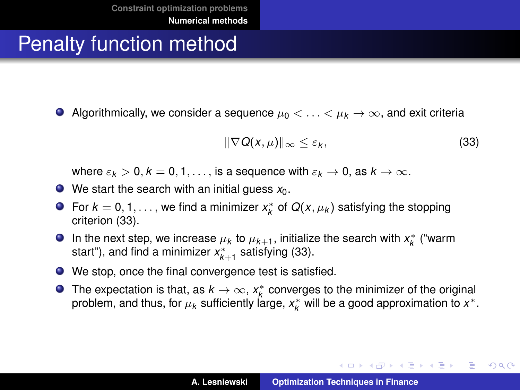Algorithmically, we consider a sequence  $\mu_0 < \ldots < \mu_k \to \infty$ , and exit criteria

<span id="page-35-0"></span>
$$
\|\nabla Q(x,\mu)\|_{\infty} \leq \varepsilon_k,\tag{33}
$$

K ロ ▶ K 御 ▶ K 重 ▶ K 重 ▶ 三重 → 約 Q @

where  $\varepsilon_k > 0, k = 0, 1, \ldots$ , is a sequence with  $\varepsilon_k \to 0$ , as  $k \to \infty$ .

- $\bullet$  We start the search with an initial guess  $x_0$ .
- For  $k = 0, 1, \ldots$ , we find a minimizer  $x_k^*$  of  $Q(x, \mu_k)$  satisfying the stopping criterion [\(33\)](#page-35-0).
- In the next step, we increase  $\mu_k$  to  $\mu_{k+1}$ , initialize the search with  $x_k^*$  ("warm start"), and find a minimizer  $x_{k+1}^*$  satisfying [\(33\)](#page-35-0).
- We stop, once the final convergence test is satisfied.
- The expectation is that, as  $k \to \infty$ ,  $x_k^*$  converges to the minimizer of the original problem, and thus, for  $\mu_k$  sufficiently large,  $x_k^*$  will be a good approximation to  $x^*.$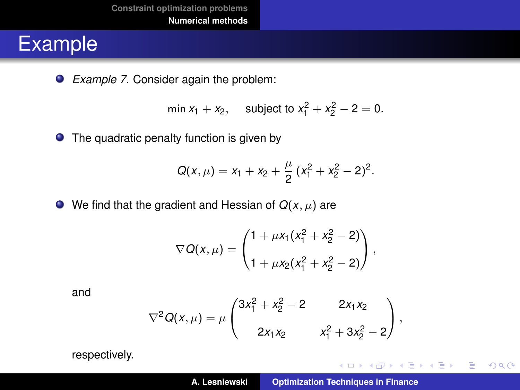*Example 7.* Consider again the problem:

$$
\min x_1 + x_2, \quad \text{subject to } x_1^2 + x_2^2 - 2 = 0.
$$

• The quadratic penalty function is given by

$$
Q(x,\mu)=x_1+x_2+\frac{\mu}{2}(x_1^2+x_2^2-2)^2.
$$

 $\bullet$  We find that the gradient and Hessian of  $Q(x, \mu)$  are

$$
\nabla Q(x,\mu) = \begin{pmatrix} 1 + \mu x_1 (x_1^2 + x_2^2 - 2) \\ 1 + \mu x_2 (x_1^2 + x_2^2 - 2) \end{pmatrix},
$$

and

$$
\nabla^2 Q(x,\mu) = \mu \begin{pmatrix} 3x_1^2 + x_2^2 - 2 & 2x_1x_2 \\ 2x_1x_2 & x_1^2 + 3x_2^2 - 2 \end{pmatrix},
$$

respectively.

イロメ イ団メ イヨメ イヨメー

重  $2990$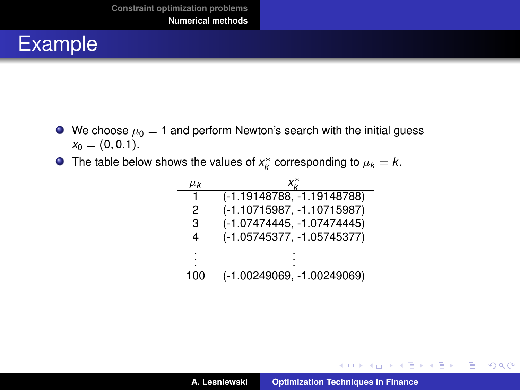- $\bullet$  We choose  $\mu_0 = 1$  and perform Newton's search with the initial guess  $x_0 = (0, 0.1).$
- The table below shows the values of  $x_k^*$  corresponding to  $\mu_k = k$ .

| $\mu_{\mathsf{k}}$ |                              |  |
|--------------------|------------------------------|--|
| 1                  | (-1.19148788, -1.19148788)   |  |
| 2                  | (-1.10715987, -1.10715987)   |  |
| 3                  | (-1.07474445, -1.07474445)   |  |
| 4                  | (-1.05745377, -1.05745377)   |  |
| ٠                  |                              |  |
|                    |                              |  |
| 100                | $(-1.00249069, -1.00249069)$ |  |

イロメ イ部メ イ君メ イ君メー

 $2Q$ 

重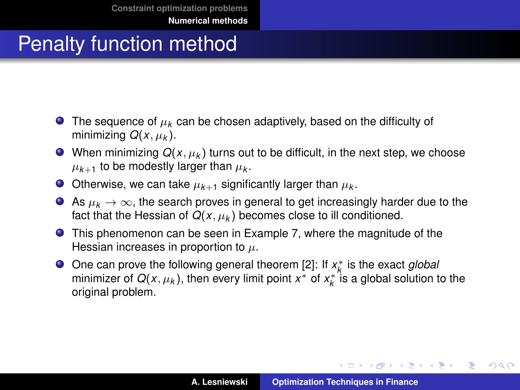- $\bullet$  The sequence of  $\mu_k$  can be chosen adaptively, based on the difficulty of minimizing  $Q(x, \mu_k)$ .
- $\bullet$  When minimizing  $Q(x, \mu_k)$  turns out to be difficult, in the next step, we choose  $\mu_{\mathsf{k+1}}$  to be modestly larger than  $\mu_{\mathsf{k}}.$
- Otherwise, we can take  $\mu_{k+1}$  significantly larger than  $\mu_k$ .
- As  $\mu_k \to \infty$ , the search proves in general to get increasingly harder due to the fact that the Hessian of  $Q(x, \mu_k)$  becomes close to ill conditioned.
- This phenomenon can be seen in Example 7, where the magnitude of the Hessian increases in proportion to  $\mu$ .
- One can prove the following general theorem [\[2\]](#page-50-1): If *x*<sup>\*</sup><sub>*k*</sub> is the exact *global* minimizer of  $Q(x, \mu_k)$ , then every limit point  $x^*$  of  $x_k^*$  is a global solution to the original problem.

イロメ イ団メ イヨメ イヨメー

重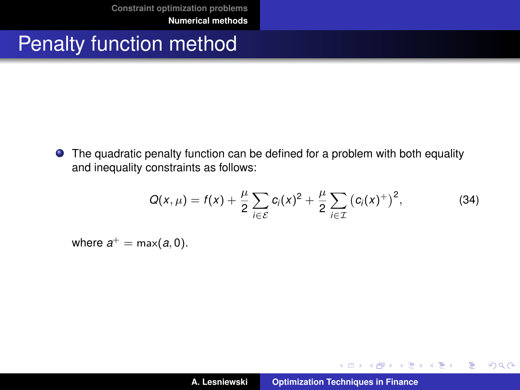**•** The quadratic penalty function can be defined for a problem with both equality and inequality constraints as follows:

$$
Q(x,\mu) = f(x) + \frac{\mu}{2} \sum_{i \in \mathcal{E}} c_i(x)^2 + \frac{\mu}{2} \sum_{i \in \mathcal{I}} (c_i(x)^+)^2, \tag{34}
$$

where  $a^+ = \max(a, 0)$ .

イロメ イ部メ イヨメ イヨメー

重

 $2Q$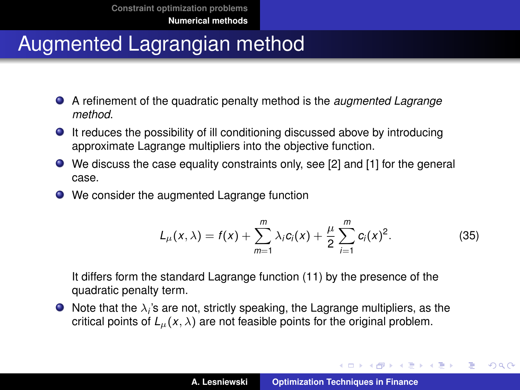- A refinement of the quadratic penalty method is the *augmented Lagrange method*.
- It reduces the possibility of ill conditioning discussed above by introducing approximate Lagrange multipliers into the objective function.
- We discuss the case equality constraints only, see [\[2\]](#page-50-1) and [\[1\]](#page-50-2) for the general case.
- We consider the augmented Lagrange function

$$
L_{\mu}(x,\lambda) = f(x) + \sum_{m=1}^{m} \lambda_{i} c_{i}(x) + \frac{\mu}{2} \sum_{i=1}^{m} c_{i}(x)^{2}.
$$
 (35)

It differs form the standard Lagrange function [\(11\)](#page-11-0) by the presence of the quadratic penalty term.

Note that the  $\lambda_i$ 's are not, strictly speaking, the Lagrange multipliers, as the critical points of  $L<sub>u</sub>(x, \lambda)$  are not feasible points for the original problem.

イロメ イ団メ イヨメ イヨメー

重

 $2Q$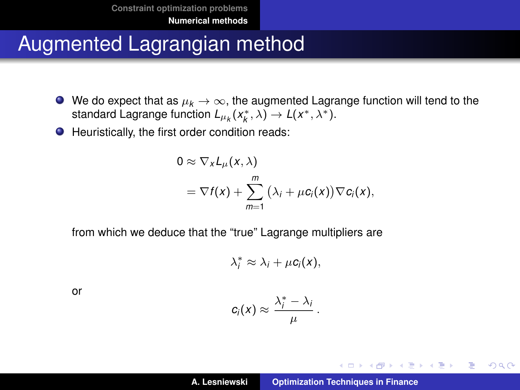- $\bullet$  We do expect that as  $\mu_k \to \infty$ , the augmented Lagrange function will tend to the standard Lagrange function  $L_{\mu_k}(x_k^*, \lambda) \to L(x^*, \lambda^*)$ .
- Heuristically, the first order condition reads:

$$
0 \approx \nabla_X L_\mu(x, \lambda)
$$
  
=  $\nabla f(x) + \sum_{m=1}^m (\lambda_i + \mu c_i(x)) \nabla c_i(x),$ 

from which we deduce that the "true" Lagrange multipliers are

$$
\lambda_i^* \approx \lambda_i + \mu c_i(x),
$$

or

$$
c_i(x) \approx \frac{\lambda_i^* - \lambda_i}{\mu}.
$$

イロメイ団 トイモメイモメー

画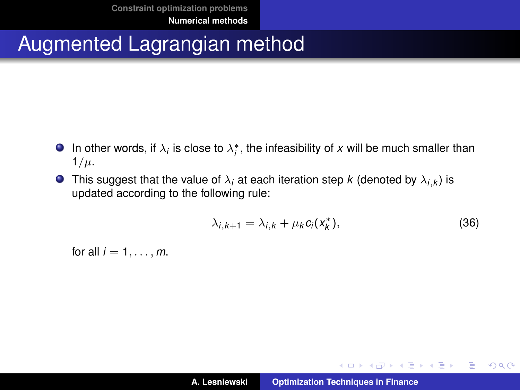- In other words, if  $\lambda_i$  is close to  $\lambda_i^*$ , the infeasibility of *x* will be much smaller than  $1/\mu$ .
- This suggest that the value of  $\lambda_i$  at each iteration step  $k$  (denoted by  $\lambda_{i,k})$  is updated according to the following rule:

<span id="page-42-0"></span>
$$
\lambda_{i,k+1} = \lambda_{i,k} + \mu_k c_i(x_k^*), \qquad (36)
$$

イロメ イ団メ イヨメ イヨメー

 $299$ 

重

for all  $i = 1, \ldots, m$ .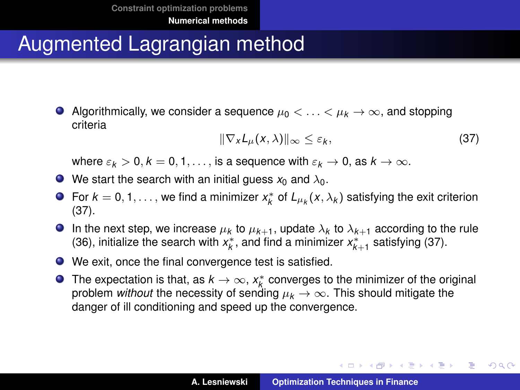Algorithmically, we consider a sequence  $\mu_0 < \ldots < \mu_k \to \infty$ , and stopping criteria

<span id="page-43-0"></span>
$$
\|\nabla_x L_\mu(x,\lambda)\|_\infty \leq \varepsilon_k,\tag{37}
$$

イロト イ母 トイ ヨ トイ ヨ トー ヨー

 $2Q$ 

where  $\varepsilon_k > 0, k = 0, 1, \ldots$ , is a sequence with  $\varepsilon_k \to 0$ , as  $k \to \infty$ .

- $\bullet$  We start the search with an initial guess  $x_0$  and  $\lambda_0$ .
- For  $k = 0, 1, \ldots$ , we find a minimizer  $x_k^*$  of  $L_{\mu_k}(x, \lambda_k)$  satisfying the exit criterion [\(37\)](#page-43-0).
- In the next step, we increase  $\mu_k$  to  $\mu_{k+1}$ , update  $\lambda_k$  to  $\lambda_{k+1}$  according to the rule [\(36\)](#page-42-0), initialize the search with  $x_k^*$ , and find a minimizer  $x_{k+1}^*$  satisfying [\(37\)](#page-43-0).
- We exit, once the final convergence test is satisfied.
- The expectation is that, as  $k \to \infty$ ,  $x_k^*$  converges to the minimizer of the original problem *without* the necessity of sending  $\mu_k \to \infty$ . This should mitigate the danger of ill conditioning and speed up the convergence.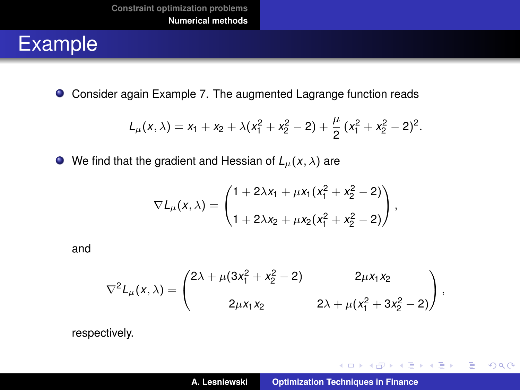Consider again Example 7. The augmented Lagrange function reads

$$
L_{\mu}(x,\lambda)=x_1+x_2+\lambda(x_1^2+x_2^2-2)+\frac{\mu}{2}(x_1^2+x_2^2-2)^2.
$$

 $\bullet$  We find that the gradient and Hessian of  $L_{\mu}(x, \lambda)$  are

$$
\nabla L_{\mu}(x,\lambda)=\begin{pmatrix}1+2\lambda x_1+\mu x_1(x_1^2+x_2^2-2)\\1+2\lambda x_2+\mu x_2(x_1^2+x_2^2-2)\end{pmatrix},
$$

and

$$
\nabla^2 L_\mu(x,\lambda) = \begin{pmatrix} 2\lambda + \mu(3x_1^2 + x_2^2 - 2) & 2\mu x_1 x_2 \\ 2\mu x_1 x_2 & 2\lambda + \mu(x_1^2 + 3x_2^2 - 2) \end{pmatrix},
$$

respectively.

イロトメ 御 トメ き トメ き トー

重。  $298$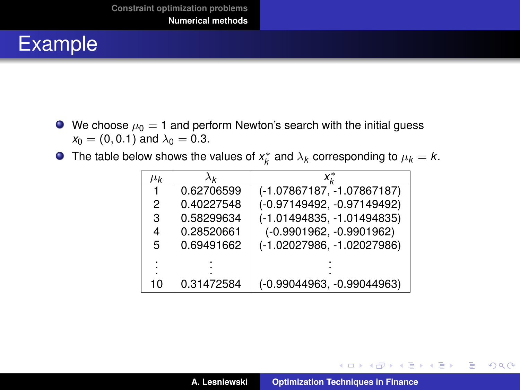- $\bullet$  We choose  $\mu_0 = 1$  and perform Newton's search with the initial guess  $x_0 = (0, 0.1)$  and  $\lambda_0 = 0.3$ .
- The table below shows the values of  $x_k^*$  and  $\lambda_k$  corresponding to  $\mu_k = k$ .

| $\mu_{\mathsf{k}}$ | $\lambda_{\mathbf{k}}$ |                              |
|--------------------|------------------------|------------------------------|
|                    | 0.62706599             | $(-1.07867187, -1.07867187)$ |
| 2                  | 0.40227548             | (-0.97149492, -0.97149492)   |
| 3                  | 0.58299634             | (-1.01494835, -1.01494835)   |
| 4                  | 0.28520661             | $(-0.9901962, -0.9901962)$   |
| 5                  | 0.69491662             | $(-1.02027986, -1.02027986)$ |
|                    |                        |                              |
|                    |                        |                              |
| 10                 | 0.31472584             | (-0.99044963, -0.99044963)   |

イロメ イ部メ イ君メ イ君メー

 $299$ 

重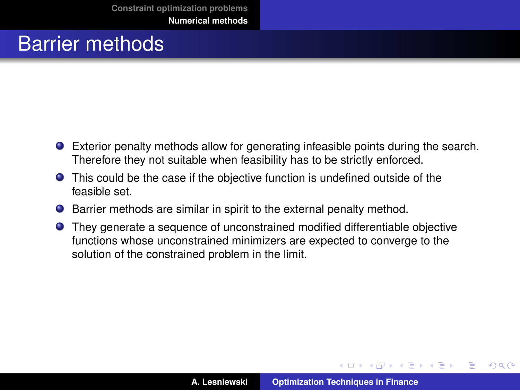#### Barrier methods

- Exterior penalty methods allow for generating infeasible points during the search. Therefore they not suitable when feasibility has to be strictly enforced.
- This could be the case if the objective function is undefined outside of the feasible set.
- Barrier methods are similar in spirit to the external penalty method.
- They generate a sequence of unconstrained modified differentiable objective functions whose unconstrained minimizers are expected to converge to the solution of the constrained problem in the limit.

イロメ イ部メ イ君メ イ君メー

 $QQ$ 

Þ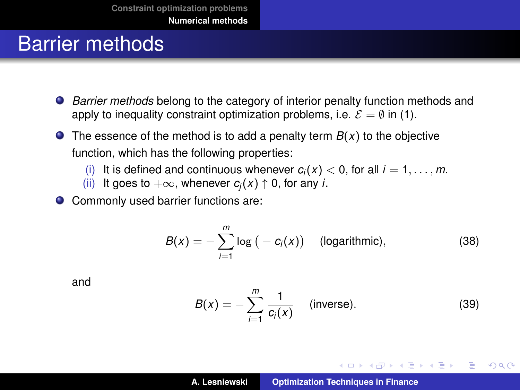#### Barrier methods

- *Barrier methods* belong to the category of interior penalty function methods and apply to inequality constraint optimization problems, i.e.  $\mathcal{E} = \emptyset$  in [\(1\)](#page-3-0).
- $\bullet$  The essence of the method is to add a penalty term  $B(x)$  to the objective function, which has the following properties:
	- (i) It is defined and continuous whenever  $c_i(x) < 0$ , for all  $i = 1, ..., m$ .<br>(ii) It goes to  $+\infty$ , whenever  $c_i(x) \uparrow 0$ , for any *i*.
	- It goes to  $+\infty$ , whenever  $c_i(x) \uparrow 0$ , for any *i*.

● Commonly used barrier functions are:

$$
B(x) = -\sum_{i=1}^{m} \log (-c_i(x))
$$
 (logarithmic), (38)

and

$$
B(x) = -\sum_{i=1}^{m} \frac{1}{c_i(x)} \quad \text{(inverse)}.
$$
 (39)

イロメ イ部メ イヨメ イヨメー

 $299$ 

重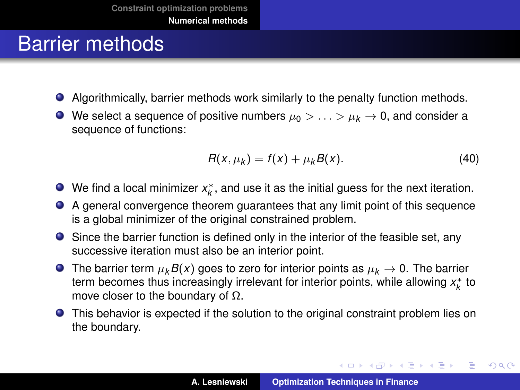#### Barrier methods

- Algorithmically, barrier methods work similarly to the penalty function methods.
- $\bullet$  We select a sequence of positive numbers  $\mu_0 > \ldots > \mu_k \to 0$ , and consider a sequence of functions:

$$
R(x, \mu_k) = f(x) + \mu_k B(x). \tag{40}
$$

イロメ イ団メ イヨメ イヨメー

重

- We find a local minimizer  $x_k^*$ , and use it as the initial guess for the next iteration.
- A general convergence theorem guarantees that any limit point of this sequence is a global minimizer of the original constrained problem.
- Since the barrier function is defined only in the interior of the feasible set, any successive iteration must also be an interior point.
- **O** The barrier term  $\mu_k B(x)$  goes to zero for interior points as  $\mu_k \to 0$ . The barrier term becomes thus increasingly irrelevant for interior points, while allowing x<sup>\*</sup><sub>*k*</sub> to move closer to the boundary of  $Ω$ .
- This behavior is expected if the solution to the original constraint problem lies on the boundary.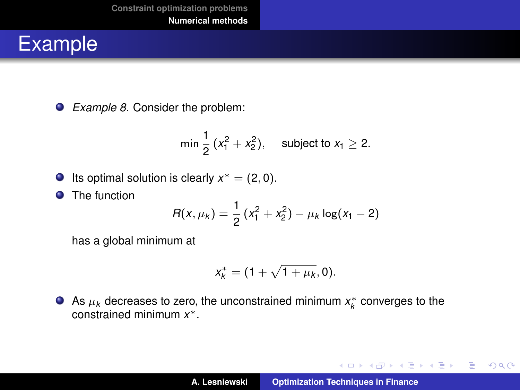*Example 8.* Consider the problem:

$$
\min \frac{1}{2} \, (x_1^2 + x_2^2), \quad \text{ subject to } x_1 \geq 2.
$$

Its optimal solution is clearly  $x^* = (2, 0)$ .

**O** The function

$$
R(x, \mu_k) = \frac{1}{2} (x_1^2 + x_2^2) - \mu_k \log(x_1 - 2)
$$

has a global minimum at

$$
x_k^* = (1 + \sqrt{1 + \mu_k}, 0).
$$

As  $\mu_k$  decreases to zero, the unconstrained minimum  $x_k^*$  converges to the constrained minimum *x* ∗.

K ロ ⊁ K 伊 ⊁ K 君 ⊁ K 君 ⊁ …

■ 1  $299$